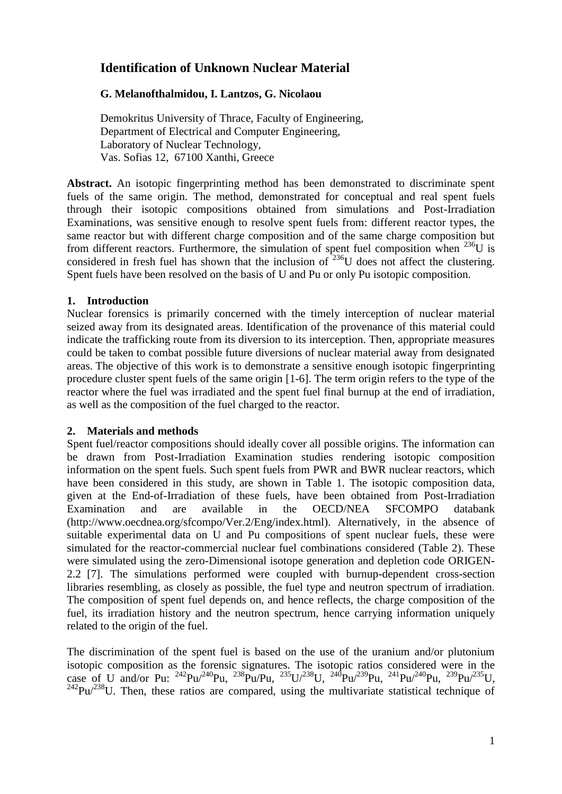# **Identification of Unknown Nuclear Material**

# **G. Melanofthalmidou, I. Lantzos, G. Nicolaou**

Demokritus University of Thrace, Faculty of Engineering, Department of Electrical and Computer Engineering, Laboratory of Nuclear Technology, Vas. Sofias 12, 67100 Xanthi, Greece

**Abstract.** An isotopic fingerprinting method has been demonstrated to discriminate spent fuels of the same origin. The method, demonstrated for conceptual and real spent fuels through their isotopic compositions obtained from simulations and Post-Irradiation Examinations, was sensitive enough to resolve spent fuels from: different reactor types, the same reactor but with different charge composition and of the same charge composition but from different reactors. Furthermore, the simulation of spent fuel composition when  $^{236}U$  is considered in fresh fuel has shown that the inclusion of  $236$ U does not affect the clustering. Spent fuels have been resolved on the basis of U and Pu or only Pu isotopic composition.

# **1. Introduction**

Nuclear forensics is primarily concerned with the timely interception of nuclear material seized away from its designated areas. Identification of the provenance of this material could indicate the trafficking route from its diversion to its interception. Then, appropriate measures could be taken to combat possible future diversions of nuclear material away from designated areas. The objective of this work is to demonstrate a sensitive enough isotopic fingerprinting procedure cluster spent fuels of the same origin [1-6]. The term origin refers to the type of the reactor where the fuel was irradiated and the spent fuel final burnup at the end of irradiation, as well as the composition of the fuel charged to the reactor.

## **2. Materials and methods**

Spent fuel/reactor compositions should ideally cover all possible origins. The information can be drawn from Post-Irradiation Examination studies rendering isotopic composition information on the spent fuels. Such spent fuels from PWR and BWR nuclear reactors, which have been considered in this study, are shown in Table 1. The isotopic composition data, given at the End-of-Irradiation of these fuels, have been obtained from Post-Irradiation Examination and are available in the OECD/NEA SFCOMPO databank (http://www.oecdnea.org/sfcompo/Ver.2/Eng/index.html). Alternatively, in the absence of suitable experimental data on U and Pu compositions of spent nuclear fuels, these were simulated for the reactor-commercial nuclear fuel combinations considered (Table 2). These were simulated using the zero-Dimensional isotope generation and depletion code ORIGEN-2.2 [7]. The simulations performed were coupled with burnup-dependent cross-section libraries resembling, as closely as possible, the fuel type and neutron spectrum of irradiation. The composition of spent fuel depends on, and hence reflects, the charge composition of the fuel, its irradiation history and the neutron spectrum, hence carrying information uniquely related to the origin of the fuel.

The discrimination of the spent fuel is based on the use of the uranium and/or plutonium isotopic composition as the forensic signatures. The isotopic ratios considered were in the case of U and/or Pu:  $^{242}Pu/^{240}Pu$ ,  $^{238}Pu/Pu$ ,  $^{235}U/^{238}U$ ,  $^{240}Pu/^{239}Pu$ ,  $^{241}Pu/^{240}Pu$ ,  $^{239}Pu/^{235}U$ ,  $242$ Pu/ $238$ U. Then, these ratios are compared, using the multivariate statistical technique of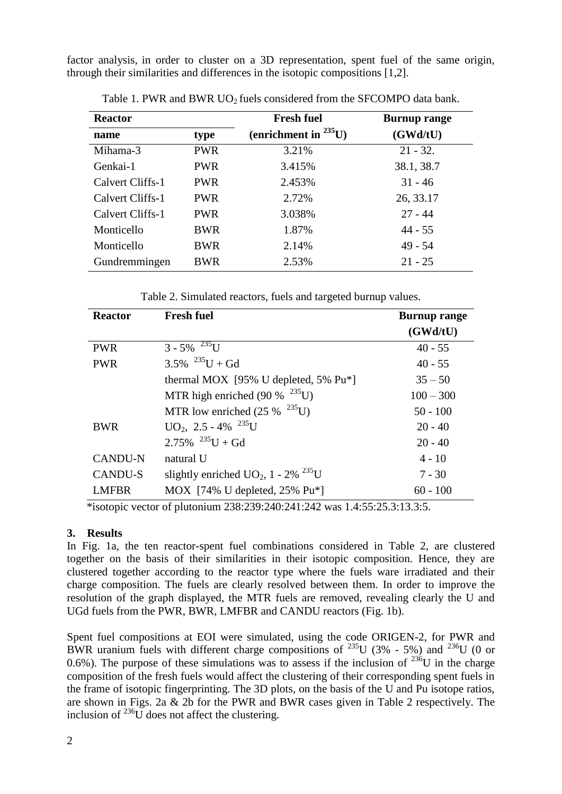factor analysis, in order to cluster on a 3D representation, spent fuel of the same origin, through their similarities and differences in the isotopic compositions [1,2].

| <b>Reactor</b>   |            | <b>Fresh fuel</b>          | <b>Burnup range</b> |
|------------------|------------|----------------------------|---------------------|
| name             | type       | (enrichment in $^{235}$ U) | (GWd/tU)            |
| Mihama-3         | <b>PWR</b> | 3.21%                      | $21 - 32.$          |
| Genkai-1         | <b>PWR</b> | 3.415%                     | 38.1, 38.7          |
| Calvert Cliffs-1 | <b>PWR</b> | 2.453%                     | $31 - 46$           |
| Calvert Cliffs-1 | <b>PWR</b> | 2.72%                      | 26, 33.17           |
| Calvert Cliffs-1 | <b>PWR</b> | 3.038%                     | $27 - 44$           |
| Monticello       | <b>BWR</b> | 1.87%                      | $44 - 55$           |
| Monticello       | <b>BWR</b> | 2.14%                      | $49 - 54$           |
| Gundremmingen    | <b>BWR</b> | 2.53%                      | $21 - 25$           |

Table 1. PWR and BWR UO<sub>2</sub> fuels considered from the SFCOMPO data bank.

Table 2. Simulated reactors, fuels and targeted burnup values.

| <b>Reactor</b> | <b>Fresh fuel</b>                                            | <b>Burnup range</b> |
|----------------|--------------------------------------------------------------|---------------------|
|                |                                                              | (GWd/tU)            |
| <b>PWR</b>     | $3 - 5\%$ <sup>235</sup> U                                   | $40 - 55$           |
| <b>PWR</b>     | $3.5\%$ $^{235}U + Gd$                                       | $40 - 55$           |
|                | thermal MOX $[95\% \text{ U}$ depleted, 5% Pu <sup>*</sup> ] | $35 - 50$           |
|                | MTR high enriched (90 % $^{235}$ U)                          | $100 - 300$         |
|                | MTR low enriched $(25\%$ <sup>235</sup> U)                   | $50 - 100$          |
| <b>BWR</b>     | $UO_2$ , 2.5 - 4% $^{235}U$                                  | $20 - 40$           |
|                | $2.75\%$ $^{235}$ U + Gd                                     | $20 - 40$           |
| <b>CANDU-N</b> | natural U                                                    | $4 - 10$            |
| <b>CANDU-S</b> | slightly enriched $UO_2$ , 1 - 2% <sup>235</sup> U           | $7 - 30$            |
| <b>LMFBR</b>   | MOX [74% U depleted, $25\%$ Pu <sup>*</sup> ]                | $60 - 100$          |

\*isotopic vector of plutonium 238:239:240:241:242 was 1.4:55:25.3:13.3:5.

## **3. Results**

In Fig. 1a, the ten reactor-spent fuel combinations considered in Table 2, are clustered together on the basis of their similarities in their isotopic composition. Hence, they are clustered together according to the reactor type where the fuels ware irradiated and their charge composition. The fuels are clearly resolved between them. In order to improve the resolution of the graph displayed, the MTR fuels are removed, revealing clearly the U and UGd fuels from the PWR, BWR, LMFBR and CANDU reactors (Fig. 1b).

Spent fuel compositions at EOI were simulated, using the code ORIGEN-2, for PWR and BWR uranium fuels with different charge compositions of  $^{235}$ U (3% - 5%) and  $^{236}$ U (0 or 0.6%). The purpose of these simulations was to assess if the inclusion of  $^{236}$ U in the charge composition of the fresh fuels would affect the clustering of their corresponding spent fuels in the frame of isotopic fingerprinting. The 3D plots, on the basis of the U and Pu isotope ratios, are shown in Figs. 2a & 2b for the PWR and BWR cases given in Table 2 respectively. The inclusion of  $^{236}$ U does not affect the clustering.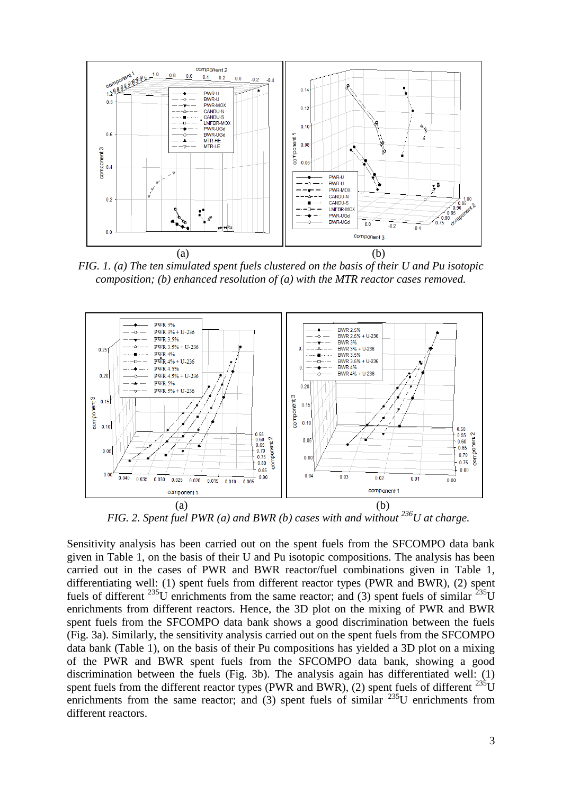

*FIG. 1. (a) The ten simulated spent fuels clustered on the basis of their U and Pu isotopic composition; (b) enhanced resolution of (a) with the MTR reactor cases removed.*



*FIG. 2. Spent fuel PWR (a) and BWR (b) cases with and without <sup>236</sup>U at charge.*

Sensitivity analysis has been carried out on the spent fuels from the SFCOMPO data bank given in Table 1, on the basis of their U and Pu isotopic compositions. The analysis has been carried out in the cases of PWR and BWR reactor/fuel combinations given in Table 1, differentiating well: (1) spent fuels from different reactor types (PWR and BWR), (2) spent fuels of different  $^{235}$ U enrichments from the same reactor; and (3) spent fuels of similar  $^{235}$ U enrichments from different reactors. Hence, the 3D plot on the mixing of PWR and BWR spent fuels from the SFCOMPO data bank shows a good discrimination between the fuels (Fig. 3a). Similarly, the sensitivity analysis carried out on the spent fuels from the SFCOMPO data bank (Table 1), on the basis of their Pu compositions has yielded a 3D plot on a mixing of the PWR and BWR spent fuels from the SFCOMPO data bank, showing a good discrimination between the fuels (Fig. 3b). The analysis again has differentiated well: (1) spent fuels from the different reactor types (PWR and BWR), (2) spent fuels of different  $^{235}$ U enrichments from the same reactor; and (3) spent fuels of similar  $^{235}$ U enrichments from different reactors.